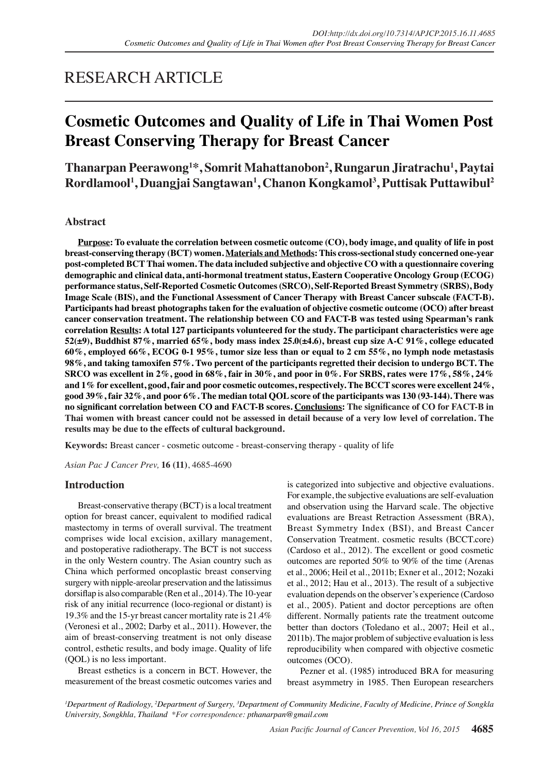# RESEARCH ARTICLE

# **Cosmetic Outcomes and Quality of Life in Thai Women Post Breast Conserving Therapy for Breast Cancer**

**Thanarpan Peerawong1 \*, Somrit Mahattanobon2 , Rungarun Jiratrachu1 , Paytai Rordlamool1 , Duangjai Sangtawan1 , Chanon Kongkamol3 , Puttisak Puttawibul2**

# **Abstract**

**Purpose: To evaluate the correlation between cosmetic outcome (CO), body image, and quality of life in post breast-conserving therapy (BCT) women. Materials and Methods: This cross-sectional study concerned one-year post-completed BCT Thai women. The data included subjective and objective CO with a questionnaire covering demographic and clinical data, anti-hormonal treatment status, Eastern Cooperative Oncology Group (ECOG) performance status, Self-Reported Cosmetic Outcomes (SRCO), Self-Reported Breast Symmetry (SRBS), Body Image Scale (BIS), and the Functional Assessment of Cancer Therapy with Breast Cancer subscale (FACT-B). Participants had breast photographs taken for the evaluation of objective cosmetic outcome (OCO) after breast cancer conservation treatment. The relationship between CO and FACT-B was tested using Spearman's rank correlation Results: A total 127 participants volunteered for the study. The participant characteristics were age 52(±9), Buddhist 87%, married 65%, body mass index 25.0(±4.6), breast cup size A-C 91%, college educated 60%, employed 66%, ECOG 0-1 95%, tumor size less than or equal to 2 cm 55%, no lymph node metastasis 98%, and taking tamoxifen 57%. Two percent of the participants regretted their decision to undergo BCT. The SRCO was excellent in 2%, good in 68%, fair in 30%, and poor in 0%. For SRBS, rates were 17%, 58%, 24% and 1% for excellent, good, fair and poor cosmetic outcomes, respectively. The BCCT scores were excellent 24%, good 39%, fair 32%, and poor 6%. The median total QOL score of the participants was 130 (93-144). There was no significant correlation between CO and FACT-B scores. Conclusions: The significance of CO for FACT-B in Thai women with breast cancer could not be assessed in detail because of a very low level of correlation. The results may be due to the effects of cultural background.**

**Keywords:** Breast cancer - cosmetic outcome - breast-conserving therapy - quality of life

*Asian Pac J Cancer Prev,* **16 (11)**, 4685-4690

# **Introduction**

Breast-conservative therapy (BCT) is a local treatment option for breast cancer, equivalent to modified radical mastectomy in terms of overall survival. The treatment comprises wide local excision, axillary management, and postoperative radiotherapy. The BCT is not success in the only Western country. The Asian country such as China which performed oncoplastic breast conserving surgery with nipple-areolar preservation and the latissimus dorsiflap is also comparable (Ren et al., 2014). The 10-year risk of any initial recurrence (loco-regional or distant) is 19.3% and the 15-yr breast cancer mortality rate is 21.4% (Veronesi et al., 2002; Darby et al., 2011). However, the aim of breast-conserving treatment is not only disease control, esthetic results, and body image. Quality of life (QOL) is no less important.

Breast esthetics is a concern in BCT. However, the measurement of the breast cosmetic outcomes varies and

is categorized into subjective and objective evaluations. For example, the subjective evaluations are self-evaluation and observation using the Harvard scale. The objective evaluations are Breast Retraction Assessment (BRA), Breast Symmetry Index (BSI), and Breast Cancer Conservation Treatment. cosmetic results (BCCT.core) (Cardoso et al., 2012). The excellent or good cosmetic outcomes are reported 50% to 90% of the time (Arenas et al., 2006; Heil et al., 2011b; Exner et al., 2012; Nozaki et al., 2012; Hau et al., 2013). The result of a subjective evaluation depends on the observer's experience (Cardoso et al., 2005). Patient and doctor perceptions are often different. Normally patients rate the treatment outcome better than doctors (Toledano et al., 2007; Heil et al., 2011b). The major problem of subjective evaluation is less reproducibility when compared with objective cosmetic outcomes (OCO).

Pezner et al. (1985) introduced BRA for measuring breast asymmetry in 1985. Then European researchers

<sup>1</sup>Department of Radiology, <sup>2</sup>Department of Surgery, <sup>3</sup>Department of Community Medicine, Faculty of Medicine, Prince of Songkla *University, Songkhla, Thailand \*For correspondence: pthanarpan@gmail.com*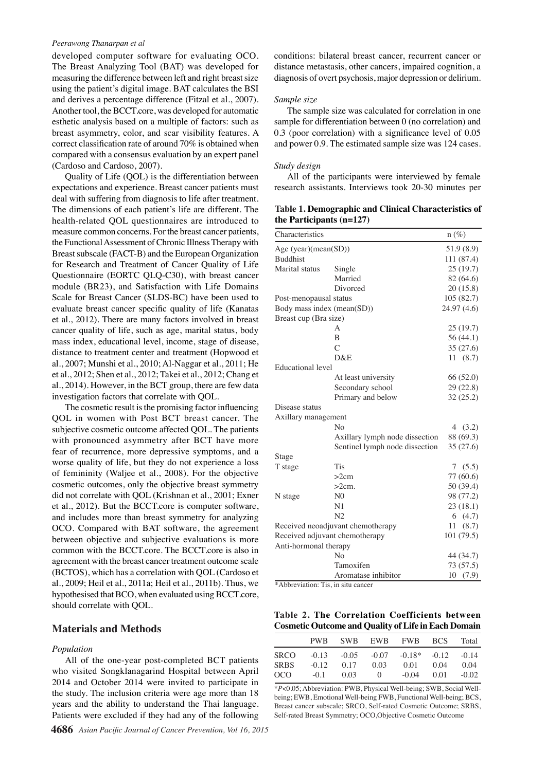#### *Peerawong Thanarpan et al*

developed computer software for evaluating OCO. The Breast Analyzing Tool (BAT) was developed for measuring the difference between left and right breast size using the patient's digital image. BAT calculates the BSI and derives a percentage difference (Fitzal et al., 2007). Another tool, the BCCT.core, was developed for automatic esthetic analysis based on a multiple of factors: such as breast asymmetry, color, and scar visibility features. A correct classification rate of around 70% is obtained when compared with a consensus evaluation by an expert panel (Cardoso and Cardoso, 2007).

Quality of Life (QOL) is the differentiation between expectations and experience. Breast cancer patients must deal with suffering from diagnosis to life after treatment. The dimensions of each patient's life are different. The health-related QOL questionnaires are introduced to measure common concerns. For the breast cancer patients, the Functional Assessment of Chronic Illness Therapy with Breast subscale (FACT-B) and the European Organization for Research and Treatment of Cancer Quality of Life Questionnaire (EORTC QLQ-C30), with breast cancer module (BR23), and Satisfaction with Life Domains Scale for Breast Cancer (SLDS-BC) have been used to evaluate breast cancer specific quality of life (Kanatas et al., 2012). There are many factors involved in breast cancer quality of life, such as age, marital status, body mass index, educational level, income, stage of disease, distance to treatment center and treatment (Hopwood et al., 2007; Munshi et al., 2010; Al-Naggar et al., 2011; He et al., 2012; Shen et al., 2012; Takei et al., 2012; Chang et al., 2014). However, in the BCT group, there are few data investigation factors that correlate with QOL.

The cosmetic result is the promising factor influencing QOL in women with Post BCT breast cancer. The subjective cosmetic outcome affected QOL. The patients with pronounced asymmetry after BCT have more fear of recurrence, more depressive symptoms, and a worse quality of life, but they do not experience a loss of femininity (Waljee et al., 2008). For the objective cosmetic outcomes, only the objective breast symmetry did not correlate with QOL (Krishnan et al., 2001; Exner et al., 2012). But the BCCT.core is computer software, and includes more than breast symmetry for analyzing OCO. Compared with BAT software, the agreement between objective and subjective evaluations is more common with the BCCT.core. The BCCT.core is also in agreement with the breast cancer treatment outcome scale (BCTOS), which has a correlation with QOL (Cardoso et al., 2009; Heil et al., 2011a; Heil et al., 2011b). Thus, we hypothesised that BCO, when evaluated using BCCT.core, should correlate with QOL.

## **Materials and Methods**

#### *Population*

All of the one-year post-completed BCT patients who visited Songklanagarind Hospital between April 2014 and October 2014 were invited to participate in the study. The inclusion criteria were age more than 18 years and the ability to understand the Thai language. Patients were excluded if they had any of the following

conditions: bilateral breast cancer, recurrent cancer or distance metastasis, other cancers, impaired cognition, a diagnosis of overt psychosis, major depression or delirium.

#### *Sample size*

The sample size was calculated for correlation in one sample for differentiation between 0 (no correlation) and 0.3 (poor correlation) with a significance level of 0.05 and power 0.9. The estimated sample size was 124 cases.

#### *Study design*

All of the participants were interviewed by female research assistants. Interviews took 20-30 minutes per

**Table 1. Demographic and Clinical Characteristics of the Participants (n=127)** 

| Characteristics                    |                                | $n(\%)$     |
|------------------------------------|--------------------------------|-------------|
| Age (year)(mean(SD))               |                                | 51.9 (8.9)  |
| <b>Buddhist</b>                    |                                | 111 (87.4)  |
| Marital status                     | Single                         | 25(19.7)    |
|                                    | Married                        | 82 (64.6)   |
|                                    | Divorced                       | 20(15.8)    |
| Post-menopausal status             |                                | 105 (82.7)  |
| Body mass index (mean(SD))         |                                | 24.97 (4.6) |
| Breast cup (Bra size)              |                                |             |
|                                    | А                              | 25 (19.7)   |
|                                    | B                              | 56 (44.1)   |
|                                    | $\overline{C}$                 | 35 (27.6)   |
|                                    | D&E                            | 11(8.7)     |
| <b>Educational</b> level           |                                |             |
|                                    | At least university            | 66 (52.0)   |
|                                    | Secondary school               | 29 (22.8)   |
|                                    | Primary and below              | 32 (25.2)   |
| Disease status                     |                                |             |
| Axillary management                |                                |             |
|                                    | No                             | 4 $(3.2)$   |
|                                    | Axillary lymph node dissection | 88 (69.3)   |
|                                    | Sentinel lymph node dissection | 35 (27.6)   |
| Stage                              |                                |             |
| T stage                            | <b>Tis</b>                     | 7(5.5)      |
|                                    | >2cm                           | 77 (60.6)   |
|                                    | $>2cm$ .                       | 50 (39.4)   |
| N stage                            | N <sub>0</sub>                 | 98 (77.2)   |
|                                    | N1                             | 23(18.1)    |
|                                    | N <sub>2</sub>                 | 6(4.7)      |
| Received neoadjuvant chemotherapy  |                                | 11<br>(8.7) |
| Received adjuvant chemotherapy     |                                | 101 (79.5)  |
| Anti-hormonal therapy              |                                |             |
|                                    | N <sub>0</sub>                 | 44 (34.7)   |
|                                    | Tamoxifen                      | 73 (57.5)   |
|                                    | Aromatase inhibitor            | 10<br>(7.9) |
| *Abbreviation: Tis, in situ cancer |                                |             |

**Table 2. The Correlation Coefficients between Cosmetic Outcome and Quality of Life in Each Domain**

|             | PW <sub>B</sub> | <b>SWB</b> | EWB              | <b>FWB</b> | BCS     | Total   |
|-------------|-----------------|------------|------------------|------------|---------|---------|
| <b>SRCO</b> | $-0.13$         | $-0.05$    | $-0.07$          | $-0.18*$   | $-0.12$ | $-0.14$ |
| <b>SRBS</b> | $-0.12$         | 0.17       | 0.03             | 0.01       | 0.04    | 0.04    |
| OCO         | $-01$           | 0.03       | $\left( \right)$ | $-0.04$    | 0.01    | $-0.02$ |

\**P*<0.05; Abbreviation: PWB, Physical Well-being; SWB, Social Wellbeing; EWB, Emotional Well-being FWB, Functional Well-being; BCS, Breast cancer subscale; SRCO, Self-rated Cosmetic Outcome; SRBS, Self-rated Breast Symmetry; OCO,Objective Cosmetic Outcome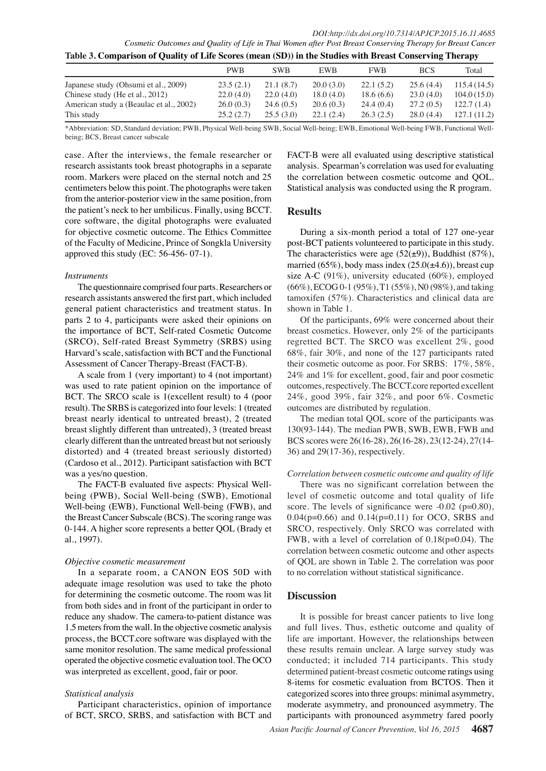*DOI:http://dx.doi.org/10.7314/APJCP.2015.16.11.4685 Cosmetic Outcomes and Quality of Life in Thai Women after Post Breast Conserving Therapy for Breast Cancer* **Table 3. Comparison of Quality of Life Scores (mean (SD)) in the Studies with Breast Conserving Therapy**

|                                         | <b>PWB</b> | <b>SWB</b> | <b>EWB</b> | <b>FWB</b> | <b>BCS</b> | Total       |
|-----------------------------------------|------------|------------|------------|------------|------------|-------------|
| Japanese study (Ohsumi et al., 2009)    | 23.5(2.1)  | 21.1(8.7)  | 20.0(3.0)  | 22.1(5.2)  | 25.6(4.4)  | 115.4(14.5) |
| Chinese study (He et al., 2012)         | 22.0(4.0)  | 22.0(4.0)  | 18.0(4.0)  | 18.6(6.6)  | 23.0(4.0)  | 104.0(15.0) |
| American study a (Beaulac et al., 2002) | 26.0(0.3)  | 24.6(0.5)  | 20.6(0.3)  | 24.4(0.4)  | 27.2(0.5)  | 122.7(1.4)  |
| This study                              | 25.2(2.7)  | 25.5(3.0)  | 22.1(2.4)  | 26.3(2.5)  | 28.0(4.4)  | 127.1(11.2) |

\*Abbreviation: SD, Standard deviation; PWB, Physical Well-being SWB, Social Well-being; EWB, Emotional Well-being FWB, Functional Wellbeing; BCS, Breast cancer subscale

case. After the interviews, the female researcher or research assistants took breast photographs in a separate room. Markers were placed on the sternal notch and 25 centimeters below this point. The photographs were taken from the anterior-posterior view in the same position, from the patient's neck to her umbilicus. Finally, using BCCT. core software, the digital photographs were evaluated for objective cosmetic outcome. The Ethics Committee of the Faculty of Medicine, Prince of Songkla University approved this study (EC: 56-456- 07-1).

#### *Instruments*

The questionnaire comprised four parts. Researchers or research assistants answered the first part, which included general patient characteristics and treatment status. In parts 2 to 4, participants were asked their opinions on the importance of BCT, Self-rated Cosmetic Outcome (SRCO), Self-rated Breast Symmetry (SRBS) using Harvard's scale, satisfaction with BCT and the Functional Assessment of Cancer Therapy-Breast (FACT-B).

A scale from 1 (very important) to 4 (not important) was used to rate patient opinion on the importance of BCT. The SRCO scale is 1(excellent result) to 4 (poor result). The SRBS is categorized into four levels: 1 (treated breast nearly identical to untreated breast), 2 (treated breast slightly different than untreated), 3 (treated breast clearly different than the untreated breast but not seriously distorted) and 4 (treated breast seriously distorted) (Cardoso et al., 2012). Participant satisfaction with BCT was a yes/no question.

The FACT-B evaluated five aspects: Physical Wellbeing (PWB), Social Well-being (SWB), Emotional Well-being (EWB), Functional Well-being (FWB), and the Breast Cancer Subscale (BCS). The scoring range was 0-144. A higher score represents a better QOL (Brady et al., 1997).

#### *Objective cosmetic measurement*

In a separate room, a CANON EOS 50D with adequate image resolution was used to take the photo for determining the cosmetic outcome. The room was lit from both sides and in front of the participant in order to reduce any shadow. The camera-to-patient distance was 1.5 meters from the wall. In the objective cosmetic analysis process, the BCCT.core software was displayed with the same monitor resolution. The same medical professional operated the objective cosmetic evaluation tool. The OCO was interpreted as excellent, good, fair or poor.

### *Statistical analysis*

Participant characteristics, opinion of importance of BCT, SRCO, SRBS, and satisfaction with BCT and

FACT-B were all evaluated using descriptive statistical analysis. Spearman's correlation was used for evaluating the correlation between cosmetic outcome and QOL. Statistical analysis was conducted using the R program.

### **Results**

During a six-month period a total of 127 one-year post-BCT patients volunteered to participate in this study. The characteristics were age  $(52(\pm 9))$ , Buddhist  $(87\%)$ , married  $(65\%)$ , body mass index  $(25.0(\pm 4.6))$ , breast cup size A-C (91%), university educated (60%), employed (66%), ECOG 0-1 (95%), T1 (55%), N0 (98%), and taking tamoxifen (57%). Characteristics and clinical data are shown in Table 1.

Of the participants, 69% were concerned about their breast cosmetics. However, only 2% of the participants regretted BCT. The SRCO was excellent 2%, good 68%, fair 30%, and none of the 127 participants rated their cosmetic outcome as poor. For SRBS: 17%, 58%, 24% and 1% for excellent, good, fair and poor cosmetic outcomes, respectively. The BCCT.core reported excellent 24%, good 39%, fair 32%, and poor 6%. Cosmetic outcomes are distributed by regulation.

The median total QOL score of the participants was 130(93-144). The median PWB, SWB, EWB, FWB and BCS scores were 26(16-28), 26(16-28), 23(12-24), 27(14- 36) and 29(17-36), respectively.

#### *Correlation between cosmetic outcome and quality of life*

There was no significant correlation between the level of cosmetic outcome and total quality of life score. The levels of significance were  $-0.02$  (p=0.80), 0.04( $p=0.66$ ) and 0.14( $p=0.11$ ) for OCO, SRBS and SRCO, respectively. Only SRCO was correlated with FWB, with a level of correlation of  $0.18(p=0.04)$ . The correlation between cosmetic outcome and other aspects of QOL are shown in Table 2. The correlation was poor to no correlation without statistical significance.

## **Discussion**

It is possible for breast cancer patients to live long and full lives. Thus, esthetic outcome and quality of life are important. However, the relationships between these results remain unclear. A large survey study was conducted; it included 714 participants. This study determined patient-breast cosmetic outcome ratings using 8-items for cosmetic evaluation from BCTOS. Then it categorized scores into three groups: minimal asymmetry, moderate asymmetry, and pronounced asymmetry. The participants with pronounced asymmetry fared poorly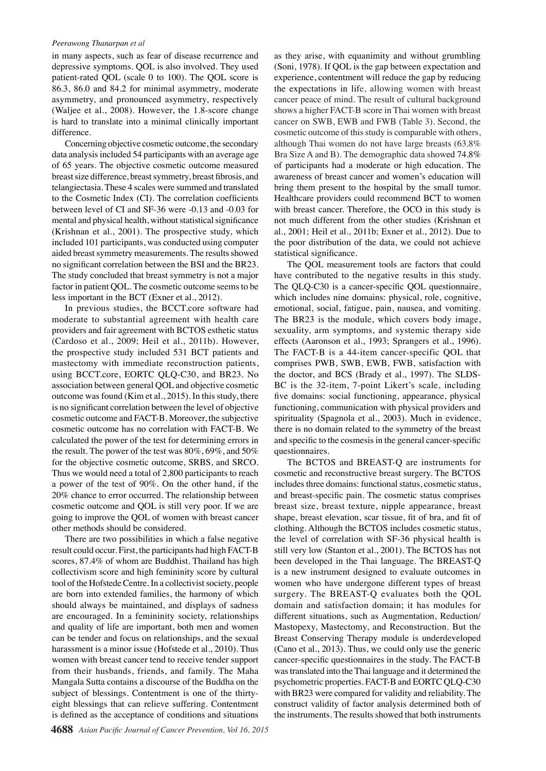#### *Peerawong Thanarpan et al*

in many aspects, such as fear of disease recurrence and depressive symptoms. QOL is also involved. They used patient-rated QOL (scale 0 to 100). The QOL score is 86.3, 86.0 and 84.2 for minimal asymmetry, moderate asymmetry, and pronounced asymmetry, respectively (Waljee et al., 2008). However, the 1.8-score change is hard to translate into a minimal clinically important difference.

Concerning objective cosmetic outcome, the secondary data analysis included 54 participants with an average age of 65 years. The objective cosmetic outcome measured breast size difference, breast symmetry, breast fibrosis, and telangiectasia. These 4 scales were summed and translated to the Cosmetic Index (CI). The correlation coefficients between level of CI and SF-36 were -0.13 and -0.03 for mental and physical health, without statistical significance (Krishnan et al., 2001). The prospective study, which included 101 participants, was conducted using computer aided breast symmetry measurements. The results showed no significant correlation between the BSI and the BR23. The study concluded that breast symmetry is not a major factor in patient QOL. The cosmetic outcome seems to be less important in the BCT (Exner et al., 2012).

In previous studies, the BCCT.core software had moderate to substantial agreement with health care providers and fair agreement with BCTOS esthetic status (Cardoso et al., 2009; Heil et al., 2011b). However, the prospective study included 531 BCT patients and mastectomy with immediate reconstruction patients, using BCCT.core, EORTC QLQ-C30, and BR23. No association between general QOL and objective cosmetic outcome was found (Kim et al., 2015). In this study, there is no significant correlation between the level of objective cosmetic outcome and FACT-B. Moreover, the subjective cosmetic outcome has no correlation with FACT-B. We calculated the power of the test for determining errors in the result. The power of the test was 80%, 69%, and 50% for the objective cosmetic outcome, SRBS, and SRCO. Thus we would need a total of 2,800 participants to reach a power of the test of 90%. On the other hand, if the 20% chance to error occurred. The relationship between cosmetic outcome and QOL is still very poor. If we are going to improve the QOL of women with breast cancer other methods should be considered.

There are two possibilities in which a false negative result could occur. First, the participants had high FACT-B scores, 87.4% of whom are Buddhist. Thailand has high collectivism score and high femininity score by cultural tool of the Hofstede Centre. In a collectivist society, people are born into extended families, the harmony of which should always be maintained, and displays of sadness are encouraged. In a femininity society, relationships and quality of life are important, both men and women can be tender and focus on relationships, and the sexual harassment is a minor issue (Hofstede et al., 2010). Thus women with breast cancer tend to receive tender support from their husbands, friends, and family. The Maha Mangala Sutta contains a discourse of the Buddha on the subject of blessings. Contentment is one of the thirtyeight blessings that can relieve suffering. Contentment is defined as the acceptance of conditions and situations

as they arise, with equanimity and without grumbling (Soni, 1978). If QOL is the gap between expectation and experience, contentment will reduce the gap by reducing the expectations in life, allowing women with breast cancer peace of mind. The result of cultural background shows a higher FACT-B score in Thai women with breast cancer on SWB, EWB and FWB (Table 3). Second, the cosmetic outcome of this study is comparable with others, although Thai women do not have large breasts (63.8% Bra Size A and B). The demographic data showed 74.8% of participants had a moderate or high education. The awareness of breast cancer and women's education will bring them present to the hospital by the small tumor. Healthcare providers could recommend BCT to women with breast cancer. Therefore, the OCO in this study is not much different from the other studies (Krishnan et al., 2001; Heil et al., 2011b; Exner et al., 2012). Due to the poor distribution of the data, we could not achieve statistical significance.

The QOL measurement tools are factors that could have contributed to the negative results in this study. The QLQ-C30 is a cancer-specific QOL questionnaire, which includes nine domains: physical, role, cognitive, emotional, social, fatigue, pain, nausea, and vomiting. The BR23 is the module, which covers body image, sexuality, arm symptoms, and systemic therapy side effects (Aaronson et al., 1993; Sprangers et al., 1996). The FACT-B is a 44-item cancer-specific QOL that comprises PWB, SWB, EWB, FWB, satisfaction with the doctor, and BCS (Brady et al., 1997). The SLDS-BC is the 32-item, 7-point Likert's scale, including five domains: social functioning, appearance, physical functioning, communication with physical providers and spirituality (Spagnola et al., 2003). Much in evidence, there is no domain related to the symmetry of the breast and specific to the cosmesis in the general cancer-specific questionnaires.

The BCTOS and BREAST-Q are instruments for cosmetic and reconstructive breast surgery. The BCTOS includes three domains: functional status, cosmetic status, and breast-specific pain. The cosmetic status comprises breast size, breast texture, nipple appearance, breast shape, breast elevation, scar tissue, fit of bra, and fit of clothing. Although the BCTOS includes cosmetic status, the level of correlation with SF-36 physical health is still very low (Stanton et al., 2001). The BCTOS has not been developed in the Thai language. The BREAST-Q is a new instrument designed to evaluate outcomes in women who have undergone different types of breast surgery. The BREAST-Q evaluates both the QOL domain and satisfaction domain; it has modules for different situations, such as Augmentation, Reduction/ Mastopexy, Mastectomy, and Reconstruction. But the Breast Conserving Therapy module is underdeveloped (Cano et al., 2013). Thus, we could only use the generic cancer-specific questionnaires in the study. The FACT-B was translated into the Thai language and it determined the psychometric properties. FACT-B and EORTC QLQ-C30 with BR23 were compared for validity and reliability. The construct validity of factor analysis determined both of the instruments. The results showed that both instruments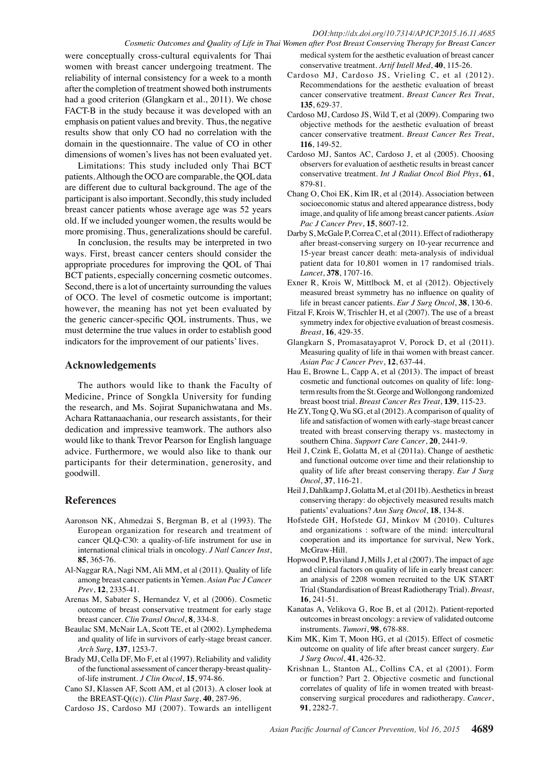#### *DOI:http://dx.doi.org/10.7314/APJCP.2015.16.11.4685 Cosmetic Outcomes and Quality of Life in Thai Women after Post Breast Conserving Therapy for Breast Cancer*

were conceptually cross-cultural equivalents for Thai women with breast cancer undergoing treatment. The reliability of internal consistency for a week to a month after the completion of treatment showed both instruments had a good criterion (Glangkarn et al., 2011). We chose FACT-B in the study because it was developed with an emphasis on patient values and brevity. Thus, the negative results show that only CO had no correlation with the domain in the questionnaire. The value of CO in other dimensions of women's lives has not been evaluated yet.

Limitations: This study included only Thai BCT patients. Although the OCO are comparable, the QOL data are different due to cultural background. The age of the participant is also important. Secondly, this study included breast cancer patients whose average age was 52 years old. If we included younger women, the results would be more promising. Thus, generalizations should be careful.

In conclusion, the results may be interpreted in two ways. First, breast cancer centers should consider the appropriate procedures for improving the QOL of Thai BCT patients, especially concerning cosmetic outcomes. Second, there is a lot of uncertainty surrounding the values of OCO. The level of cosmetic outcome is important; however, the meaning has not yet been evaluated by the generic cancer-specific QOL instruments. Thus, we must determine the true values in order to establish good indicators for the improvement of our patients' lives.

## **Acknowledgements**

The authors would like to thank the Faculty of Medicine, Prince of Songkla University for funding the research, and Ms. Sojirat Supanichwatana and Ms. Achara Rattanaachania, our research assistants, for their dedication and impressive teamwork. The authors also would like to thank Trevor Pearson for English language advice. Furthermore, we would also like to thank our participants for their determination, generosity, and goodwill.

# **References**

- Aaronson NK, Ahmedzai S, Bergman B, et al (1993). The European organization for research and treatment of cancer QLQ-C30: a quality-of-life instrument for use in international clinical trials in oncology. *J Natl Cancer Inst*, **85**, 365-76.
- Al-Naggar RA, Nagi NM, Ali MM, et al (2011). Quality of life among breast cancer patients in Yemen. *Asian Pac J Cancer Prev*, **12**, 2335-41.
- Arenas M, Sabater S, Hernandez V, et al (2006). Cosmetic outcome of breast conservative treatment for early stage breast cancer. *Clin Transl Oncol*, **8**, 334-8.
- Beaulac SM, McNair LA, Scott TE, et al (2002). Lymphedema and quality of life in survivors of early-stage breast cancer. *Arch Surg*, **137**, 1253-7.
- Brady MJ, Cella DF, Mo F, et al (1997). Reliability and validity of the functional assessment of cancer therapy-breast qualityof-life instrument. *J Clin Oncol*, **15**, 974-86.
- Cano SJ, Klassen AF, Scott AM, et al (2013). A closer look at the BREAST-Q((c)). *Clin Plast Surg*, **40**, 287-96.
- Cardoso JS, Cardoso MJ (2007). Towards an intelligent

medical system for the aesthetic evaluation of breast cancer conservative treatment. *Artif Intell Med*, **40**, 115-26.

- Cardoso MJ, Cardoso JS, Vrieling C, et al (2012). Recommendations for the aesthetic evaluation of breast cancer conservative treatment. *Breast Cancer Res Treat*, **135**, 629-37.
- Cardoso MJ, Cardoso JS, Wild T, et al (2009). Comparing two objective methods for the aesthetic evaluation of breast cancer conservative treatment. *Breast Cancer Res Treat*, **116**, 149-52.
- Cardoso MJ, Santos AC, Cardoso J, et al (2005). Choosing observers for evaluation of aesthetic results in breast cancer conservative treatment. *Int J Radiat Oncol Biol Phys*, **61**, 879-81.
- Chang O, Choi EK, Kim IR, et al (2014). Association between socioeconomic status and altered appearance distress, body image, and quality of life among breast cancer patients. *Asian Pac J Cancer Prev*, **15**, 8607-12.
- Darby S, McGale P, Correa C, et al (2011). Effect of radiotherapy after breast-conserving surgery on 10-year recurrence and 15-year breast cancer death: meta-analysis of individual patient data for 10,801 women in 17 randomised trials. *Lancet*, **378**, 1707-16.
- Exner R, Krois W, Mittlbock M, et al (2012). Objectively measured breast symmetry has no influence on quality of life in breast cancer patients. *Eur J Surg Oncol*, **38**, 130-6.
- Fitzal F, Krois W, Trischler H, et al (2007). The use of a breast symmetry index for objective evaluation of breast cosmesis. *Breast*, **16**, 429-35.
- Glangkarn S, Promasatayaprot V, Porock D, et al (2011). Measuring quality of life in thai women with breast cancer. *Asian Pac J Cancer Prev*, **12**, 637-44.
- Hau E, Browne L, Capp A, et al (2013). The impact of breast cosmetic and functional outcomes on quality of life: longterm results from the St. George and Wollongong randomized breast boost trial. *Breast Cancer Res Treat*, **139**, 115-23.
- He ZY, Tong Q, Wu SG, et al (2012). A comparison of quality of life and satisfaction of women with early-stage breast cancer treated with breast conserving therapy vs. mastectomy in southern China. *Support Care Cancer*, **20**, 2441-9.
- Heil J, Czink E, Golatta M, et al (2011a). Change of aesthetic and functional outcome over time and their relationship to quality of life after breast conserving therapy. *Eur J Surg Oncol*, **37**, 116-21.
- Heil J, Dahlkamp J, Golatta M, et al (2011b). Aesthetics in breast conserving therapy: do objectively measured results match patients' evaluations? *Ann Surg Oncol*, **18**, 134-8.
- Hofstede GH, Hofstede GJ, Minkov M (2010). Cultures and organizations : software of the mind: intercultural cooperation and its importance for survival, New York, McGraw-Hill.
- Hopwood P, Haviland J, Mills J, et al (2007). The impact of age and clinical factors on quality of life in early breast cancer: an analysis of 2208 women recruited to the UK START Trial (Standardisation of Breast Radiotherapy Trial). *Breast*, **16**, 241-51.
- Kanatas A, Velikova G, Roe B, et al (2012). Patient-reported outcomes in breast oncology: a review of validated outcome instruments. *Tumori*, **98**, 678-88.
- Kim MK, Kim T, Moon HG, et al (2015). Effect of cosmetic outcome on quality of life after breast cancer surgery. *Eur J Surg Oncol*, **41**, 426-32.
- Krishnan L, Stanton AL, Collins CA, et al (2001). Form or function? Part 2. Objective cosmetic and functional correlates of quality of life in women treated with breastconserving surgical procedures and radiotherapy. *Cancer*, **91**, 2282-7.